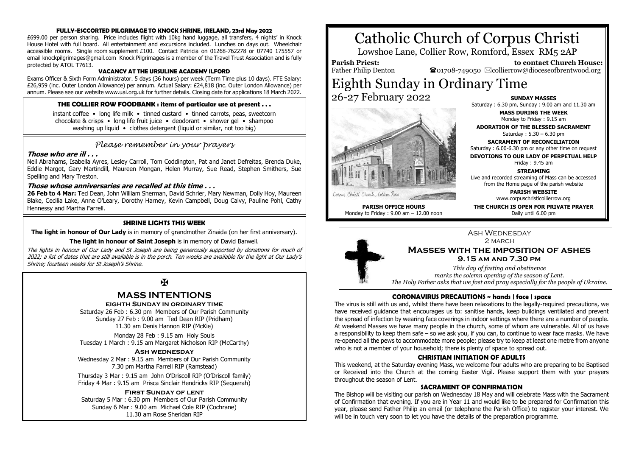## **FULLY-ESCCORTED PILGRIMAGE TO KNOCK SHRINE, IRELAND, 23rd May 2022**

£699.00 per person sharing. Price includes flight with 10kg hand luggage, all transfers, 4 nights' in Knock House Hotel with full board. All entertainment and excursions included. Lunches on days out. Wheelchair accessible rooms. Single room supplement £100. Contact Patricia on 01268-762278 or 07740 175557 or email knockpilgrimages@gmail.com Knock Pilgrimages is a member of the Travel Trust Association and is fully protected by ATOL T7613.

## **VACANCY AT THE URSULINE ACADEMY ILFORD**

Exams Officer & Sixth Form Administrator. 5 days (36 hours) per week (Term Time plus 10 days). FTE Salary: £26,959 (inc. Outer London Allowance) per annum. Actual Salary: £24,818 (inc. Outer London Allowance) per annum. Please see our website www.uai.org.uk for further details. Closing date for applications 18 March 2022.

## **THE COLLIER ROW FOODBANK : items of particular use at present . . .**

instant coffee • long life milk • tinned custard • tinned carrots, peas, sweetcorn chocolate & crisps • long life fruit juice • deodorant • shower gel • shampoo washing up liquid • clothes detergent (liquid or similar, not too big)

## *Please remember in your prayers*

## **Those who are ill . . .**

Neil Abrahams, Isabella Ayres, Lesley Carroll, Tom Coddington, Pat and Janet Defreitas, Brenda Duke, Eddie Margot, Gary Martindill, Maureen Mongan, Helen Murray, Sue Read, Stephen Smithers, Sue Spelling and Mary Treston.

## **Those whose anniversaries are recalled at this time . . .**

**26 Feb to 4 Mar:** Ted Dean, John William Sherman, David Schrier, Mary Newman, Dolly Hoy, Maureen Blake, Cecilia Lake, Anne O'Leary, Dorothy Harney, Kevin Campbell, Doug Calvy, Pauline Pohl, Cathy Hennessy and Martha Farrell.

## **SHRINE LIGHTS THIS WEEK**

**The light in honour of Our Lady** is in memory of grandmother Zinaida (on her first anniversary).

## **The light in honour of Saint Joseph** is in memory of David Barwell.

The lights in honour of Our Lady and St Joseph are being generously supported by donations for much of 2022; a list of dates that are still available is in the porch. Ten weeks are available for the light at Our Lady's Shrine; fourteen weeks for St Joseph's Shrine.

## $\mathbf{K}$

## **MASS INTENTIONS**

## **eighth Sunday in ordinary time**

Saturday 26 Feb : 6.30 pm Members of Our Parish Community Sunday 27 Feb : 9.00 am Ted Dean RIP (Pridham) 11.30 am Denis Hannon RIP (McKie)

Monday 28 Feb : 9.15 am Holy Souls Tuesday 1 March : 9.15 am Margaret Nicholson RIP (McCarthy)

## **Ash wednesday**

Wednesday 2 Mar : 9.15 am Members of Our Parish Community 7.30 pm Martha Farrell RIP (Ramstead)

Thursday 3 Mar : 9.15 am John O'Driscoll RIP (O'Driscoll family) Friday 4 Mar : 9.15 am Prisca Sinclair Hendricks RIP (Sequerah)

## **First Sunday of lent**

Saturday 5 Mar : 6.30 pm Members of Our Parish Community Sunday 6 Mar : 9.00 am Michael Cole RIP (Cochrane) 11.30 am Rose Sheridan RIP

# Catholic Church of Corpus Christi

Lowshoe Lane, Collier Row, Romford, Essex RM5 2AP

**Parish Priest:** Father Philip Denton

 **to contact Church House:**  $\bullet$ 01708-749050  $\boxtimes$ collierrow@dioceseofbrentwood.org

## Eighth Sunday in Ordinary Time 26-27 February 2022



#### Corners Christi Church, Collier Roa

**PARISH OFFICE HOURS** Monday to Friday : 9.00 am – 12.00 noon

**SUNDAY MASSES** Saturday : 6.30 pm, Sunday : 9.00 am and 11.30 am

> **MASS DURING THE WEEK** Monday to Friday : 9.15 am

**ADORATION OF THE BLESSED SACRAMENT** Saturday : 5.30 – 6.30 pm

**SACRAMENT OF RECONCILIATION** Saturday : 6.00-6.30 pm or any other time on request

**DEVOTIONS TO OUR LADY OF PERPETUAL HELP** Friday : 9.45 am

## **STREAMING** Live and recorded streaming of Mass can be accessed

from the Home page of the parish website

**PARISH WEBSITE** www.corpuschristicollierrow.org

**THE CHURCH IS OPEN FOR PRIVATE PRAYER** Daily until 6.00 pm



*marks the solemn opening of the season of Lent. The Holy Father asks that we fast and pray especially for the people of Ukraine.*

## **CORONAVIRUS PRECAUTIONS ~ hands | face | space**

The virus is still with us and, whilst there have been relaxations to the legally-required precautions, we have received guidance that encourages us to: sanitise hands, keep buildings ventilated and prevent the spread of infection by wearing face coverings in indoor settings where there are a number of people. At weekend Masses we have many people in the church, some of whom are vulnerable. All of us have a responsibility to keep them safe – so we ask you, if you can, to continue to wear face masks. We have re-opened all the pews to accommodate more people; please try to keep at least one metre from anyone who is not a member of your household; there is plenty of space to spread out.

## **CHRISTIAN INITIATION OF ADULTS**

This weekend, at the Saturday evening Mass, we welcome four adults who are preparing to be Baptised or Received into the Church at the coming Easter Vigil. Please support them with your prayers throughout the season of Lent.

## **SACRAMENT OF CONFIRMATION**

The Bishop will be visiting our parish on Wednesday 18 May and will celebrate Mass with the Sacrament of Confirmation that evening. If you are in Year 11 and would like to be prepared for Confirmation this year, please send Father Philip an email (or telephone the Parish Office) to register your interest. We will be in touch very soon to let you have the details of the preparation programme.